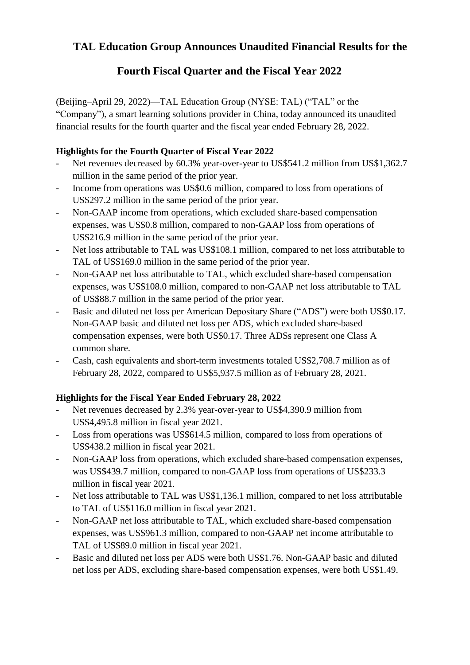# **TAL Education Group Announces Unaudited Financial Results for the**

# **Fourth Fiscal Quarter and the Fiscal Year 2022**

(Beijing–April 29, 2022)—TAL Education Group (NYSE: TAL) ("TAL" or the "Company"), a smart learning solutions provider in China, today announced its unaudited financial results for the fourth quarter and the fiscal year ended February 28, 2022.

#### **Highlights for the Fourth Quarter of Fiscal Year 2022**

- Net revenues decreased by 60.3% year-over-year to US\$541.2 million from US\$1,362.7 million in the same period of the prior year.
- Income from operations was US\$0.6 million, compared to loss from operations of US\$297.2 million in the same period of the prior year.
- Non-GAAP income from operations, which excluded share-based compensation expenses, was US\$0.8 million, compared to non-GAAP loss from operations of US\$216.9 million in the same period of the prior year.
- Net loss attributable to TAL was US\$108.1 million, compared to net loss attributable to TAL of US\$169.0 million in the same period of the prior year.
- Non-GAAP net loss attributable to TAL, which excluded share-based compensation expenses, was US\$108.0 million, compared to non-GAAP net loss attributable to TAL of US\$88.7 million in the same period of the prior year.
- Basic and diluted net loss per American Depositary Share ("ADS") were both US\$0.17. Non-GAAP basic and diluted net loss per ADS, which excluded share-based compensation expenses, were both US\$0.17. Three ADSs represent one Class A common share.
- Cash, cash equivalents and short-term investments totaled US\$2,708.7 million as of February 28, 2022, compared to US\$5,937.5 million as of February 28, 2021.

## **Highlights for the Fiscal Year Ended February 28, 2022**

- Net revenues decreased by 2.3% year-over-year to US\$4,390.9 million from US\$4,495.8 million in fiscal year 2021.
- Loss from operations was US\$614.5 million, compared to loss from operations of US\$438.2 million in fiscal year 2021.
- Non-GAAP loss from operations, which excluded share-based compensation expenses, was US\$439.7 million, compared to non-GAAP loss from operations of US\$233.3 million in fiscal year 2021.
- Net loss attributable to TAL was US\$1,136.1 million, compared to net loss attributable to TAL of US\$116.0 million in fiscal year 2021.
- Non-GAAP net loss attributable to TAL, which excluded share-based compensation expenses, was US\$961.3 million, compared to non-GAAP net income attributable to TAL of US\$89.0 million in fiscal year 2021.
- Basic and diluted net loss per ADS were both US\$1.76. Non-GAAP basic and diluted net loss per ADS, excluding share-based compensation expenses, were both US\$1.49.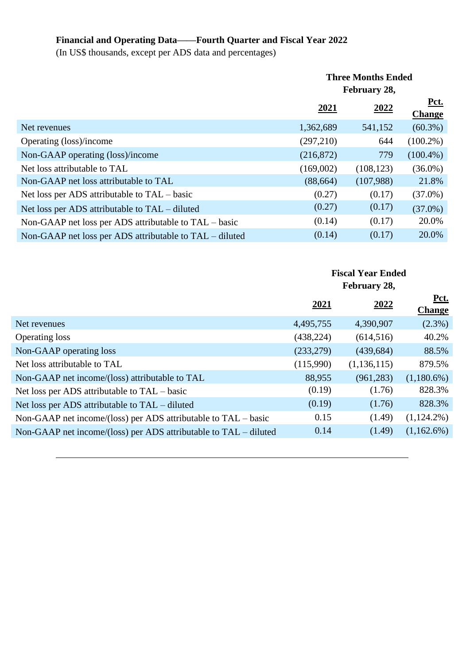## **Financial and Operating Data——Fourth Quarter and Fiscal Year 2022**

(In US\$ thousands, except per ADS data and percentages)

l,

|                                                         | <b>Three Months Ended</b> |            |                       |  |
|---------------------------------------------------------|---------------------------|------------|-----------------------|--|
|                                                         | February 28,              |            |                       |  |
|                                                         | <u>2021</u>               | 2022       | Pct.<br><b>Change</b> |  |
| Net revenues                                            | 1,362,689                 | 541,152    | $(60.3\%)$            |  |
| Operating (loss)/income                                 | (297,210)                 | 644        | $(100.2\%)$           |  |
| Non-GAAP operating (loss)/income                        | (216,872)                 | 779        | $(100.4\%)$           |  |
| Net loss attributable to TAL                            | (169,002)                 | (108, 123) | $(36.0\%)$            |  |
| Non-GAAP net loss attributable to TAL                   | (88, 664)                 | (107,988)  | 21.8%                 |  |
| Net loss per ADS attributable to TAL – basic            | (0.27)                    | (0.17)     | $(37.0\%)$            |  |
| Net loss per ADS attributable to TAL – diluted          | (0.27)                    | (0.17)     | $(37.0\%)$            |  |
| Non-GAAP net loss per ADS attributable to TAL – basic   | (0.14)                    | (0.17)     | 20.0%                 |  |
| Non-GAAP net loss per ADS attributable to TAL – diluted | (0.14)                    | (0.17)     | 20.0%                 |  |

## **Fiscal Year Ended February 28,**

|                                                                  | 2021       | 2022        | Pct.<br><b>Change</b> |
|------------------------------------------------------------------|------------|-------------|-----------------------|
| Net revenues                                                     | 4,495,755  | 4,390,907   | $(2.3\%)$             |
| <b>Operating loss</b>                                            | (438, 224) | (614, 516)  | 40.2%                 |
| Non-GAAP operating loss                                          | (233, 279) | (439, 684)  | 88.5%                 |
| Net loss attributable to TAL                                     | (115,990)  | (1,136,115) | 879.5%                |
| Non-GAAP net income/(loss) attributable to TAL                   | 88,955     | (961, 283)  | $(1,180.6\%)$         |
| Net loss per ADS attributable to TAL – basic                     | (0.19)     | (1.76)      | 828.3%                |
| Net loss per ADS attributable to TAL – diluted                   | (0.19)     | (1.76)      | 828.3%                |
| Non-GAAP net income/(loss) per ADS attributable to TAL – basic   | 0.15       | (1.49)      | $(1,124.2\%)$         |
| Non-GAAP net income/(loss) per ADS attributable to TAL – diluted | 0.14       | (1.49)      | $(1,162.6\%)$         |
|                                                                  |            |             |                       |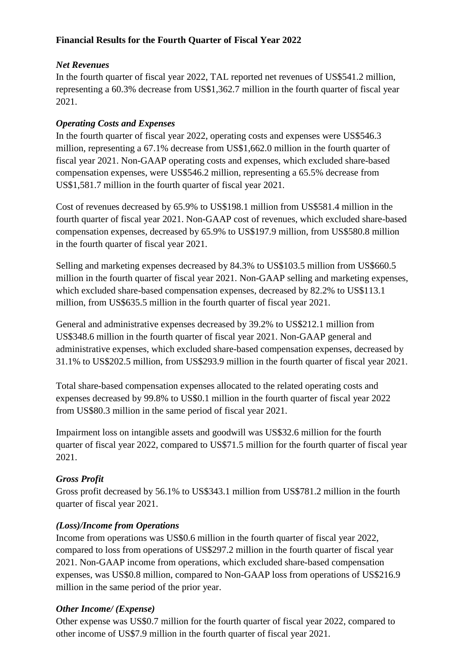## **Financial Results for the Fourth Quarter of Fiscal Year 2022**

### *Net Revenues*

In the fourth quarter of fiscal year 2022, TAL reported net revenues of US\$541.2 million, representing a 60.3% decrease from US\$1,362.7 million in the fourth quarter of fiscal year 2021.

## *Operating Costs and Expenses*

In the fourth quarter of fiscal year 2022, operating costs and expenses were US\$546.3 million, representing a 67.1% decrease from US\$1,662.0 million in the fourth quarter of fiscal year 2021. Non-GAAP operating costs and expenses, which excluded share-based compensation expenses, were US\$546.2 million, representing a 65.5% decrease from US\$1,581.7 million in the fourth quarter of fiscal year 2021.

Cost of revenues decreased by 65.9% to US\$198.1 million from US\$581.4 million in the fourth quarter of fiscal year 2021. Non-GAAP cost of revenues, which excluded share-based compensation expenses, decreased by 65.9% to US\$197.9 million, from US\$580.8 million in the fourth quarter of fiscal year 2021.

Selling and marketing expenses decreased by 84.3% to US\$103.5 million from US\$660.5 million in the fourth quarter of fiscal year 2021. Non-GAAP selling and marketing expenses, which excluded share-based compensation expenses, decreased by 82.2% to US\$113.1 million, from US\$635.5 million in the fourth quarter of fiscal year 2021.

General and administrative expenses decreased by 39.2% to US\$212.1 million from US\$348.6 million in the fourth quarter of fiscal year 2021. Non-GAAP general and administrative expenses, which excluded share-based compensation expenses, decreased by 31.1% to US\$202.5 million, from US\$293.9 million in the fourth quarter of fiscal year 2021.

Total share-based compensation expenses allocated to the related operating costs and expenses decreased by 99.8% to US\$0.1 million in the fourth quarter of fiscal year 2022 from US\$80.3 million in the same period of fiscal year 2021.

Impairment loss on intangible assets and goodwill was US\$32.6 million for the fourth quarter of fiscal year 2022, compared to US\$71.5 million for the fourth quarter of fiscal year 2021.

## *Gross Profit*

Gross profit decreased by 56.1% to US\$343.1 million from US\$781.2 million in the fourth quarter of fiscal year 2021.

## *(Loss)/Income from Operations*

Income from operations was US\$0.6 million in the fourth quarter of fiscal year 2022, compared to loss from operations of US\$297.2 million in the fourth quarter of fiscal year 2021. Non-GAAP income from operations, which excluded share-based compensation expenses, was US\$0.8 million, compared to Non-GAAP loss from operations of US\$216.9 million in the same period of the prior year.

## *Other Income/ (Expense)*

Other expense was US\$0.7 million for the fourth quarter of fiscal year 2022, compared to other income of US\$7.9 million in the fourth quarter of fiscal year 2021.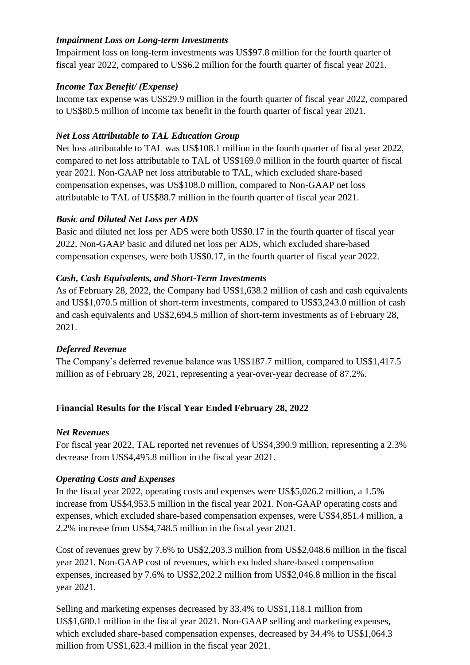#### *Impairment Loss on Long-term Investments*

Impairment loss on long-term investments was US\$97.8 million for the fourth quarter of fiscal year 2022, compared to US\$6.2 million for the fourth quarter of fiscal year 2021.

#### *Income Tax Benefit/ (Expense)*

Income tax expense was US\$29.9 million in the fourth quarter of fiscal year 2022, compared to US\$80.5 million of income tax benefit in the fourth quarter of fiscal year 2021.

#### *Net Loss Attributable to TAL Education Group*

Net loss attributable to TAL was US\$108.1 million in the fourth quarter of fiscal year 2022, compared to net loss attributable to TAL of US\$169.0 million in the fourth quarter of fiscal year 2021. Non-GAAP net loss attributable to TAL, which excluded share-based compensation expenses, was US\$108.0 million, compared to Non-GAAP net loss attributable to TAL of US\$88.7 million in the fourth quarter of fiscal year 2021.

#### *Basic and Diluted Net Loss per ADS*

Basic and diluted net loss per ADS were both US\$0.17 in the fourth quarter of fiscal year 2022. Non-GAAP basic and diluted net loss per ADS, which excluded share-based compensation expenses, were both US\$0.17, in the fourth quarter of fiscal year 2022.

#### *Cash, Cash Equivalents, and Short-Term Investments*

As of February 28, 2022, the Company had US\$1,638.2 million of cash and cash equivalents and US\$1,070.5 million of short-term investments, compared to US\$3,243.0 million of cash and cash equivalents and US\$2,694.5 million of short-term investments as of February 28, 2021.

#### *Deferred Revenue*

The Company's deferred revenue balance was US\$187.7 million, compared to US\$1,417.5 million as of February 28, 2021, representing a year-over-year decrease of 87.2%.

## **Financial Results for the Fiscal Year Ended February 28, 2022**

#### *Net Revenues*

For fiscal year 2022, TAL reported net revenues of US\$4,390.9 million, representing a 2.3% decrease from US\$4,495.8 million in the fiscal year 2021.

## *Operating Costs and Expenses*

In the fiscal year 2022, operating costs and expenses were US\$5,026.2 million, a 1.5% increase from US\$4,953.5 million in the fiscal year 2021. Non-GAAP operating costs and expenses, which excluded share-based compensation expenses, were US\$4,851.4 million, a 2.2% increase from US\$4,748.5 million in the fiscal year 2021.

Cost of revenues grew by 7.6% to US\$2,203.3 million from US\$2,048.6 million in the fiscal year 2021. Non-GAAP cost of revenues, which excluded share-based compensation expenses, increased by 7.6% to US\$2,202.2 million from US\$2,046.8 million in the fiscal year 2021.

Selling and marketing expenses decreased by 33.4% to US\$1,118.1 million from US\$1,680.1 million in the fiscal year 2021. Non-GAAP selling and marketing expenses, which excluded share-based compensation expenses, decreased by 34.4% to US\$1,064.3 million from US\$1,623.4 million in the fiscal year 2021.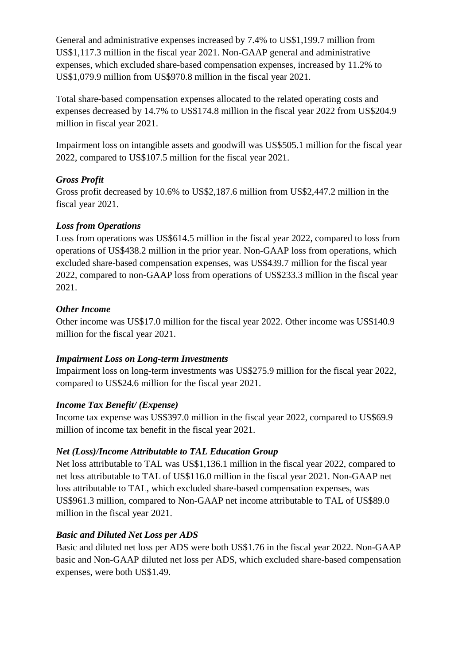General and administrative expenses increased by 7.4% to US\$1,199.7 million from US\$1,117.3 million in the fiscal year 2021. Non-GAAP general and administrative expenses, which excluded share-based compensation expenses, increased by 11.2% to US\$1,079.9 million from US\$970.8 million in the fiscal year 2021.

Total share-based compensation expenses allocated to the related operating costs and expenses decreased by 14.7% to US\$174.8 million in the fiscal year 2022 from US\$204.9 million in fiscal year 2021.

Impairment loss on intangible assets and goodwill was US\$505.1 million for the fiscal year 2022, compared to US\$107.5 million for the fiscal year 2021.

#### *Gross Profit*

Gross profit decreased by 10.6% to US\$2,187.6 million from US\$2,447.2 million in the fiscal year 2021.

## *Loss from Operations*

Loss from operations was US\$614.5 million in the fiscal year 2022, compared to loss from operations of US\$438.2 million in the prior year. Non-GAAP loss from operations, which excluded share-based compensation expenses, was US\$439.7 million for the fiscal year 2022, compared to non-GAAP loss from operations of US\$233.3 million in the fiscal year 2021.

#### *Other Income*

Other income was US\$17.0 million for the fiscal year 2022. Other income was US\$140.9 million for the fiscal year 2021.

## *Impairment Loss on Long-term Investments*

Impairment loss on long-term investments was US\$275.9 million for the fiscal year 2022, compared to US\$24.6 million for the fiscal year 2021.

## *Income Tax Benefit/ (Expense)*

Income tax expense was US\$397.0 million in the fiscal year 2022, compared to US\$69.9 million of income tax benefit in the fiscal year 2021.

## *Net (Loss)/Income Attributable to TAL Education Group*

Net loss attributable to TAL was US\$1,136.1 million in the fiscal year 2022, compared to net loss attributable to TAL of US\$116.0 million in the fiscal year 2021. Non-GAAP net loss attributable to TAL, which excluded share-based compensation expenses, was US\$961.3 million, compared to Non-GAAP net income attributable to TAL of US\$89.0 million in the fiscal year 2021.

## *Basic and Diluted Net Loss per ADS*

Basic and diluted net loss per ADS were both US\$1.76 in the fiscal year 2022. Non-GAAP basic and Non-GAAP diluted net loss per ADS, which excluded share-based compensation expenses, were both US\$1.49.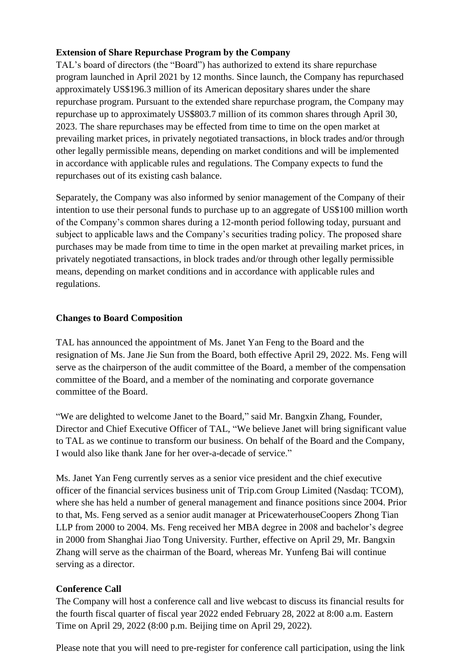#### **Extension of Share Repurchase Program by the Company**

TAL's board of directors (the "Board") has authorized to extend its share repurchase program launched in April 2021 by 12 months. Since launch, the Company has repurchased approximately US\$196.3 million of its American depositary shares under the share repurchase program. Pursuant to the extended share repurchase program, the Company may repurchase up to approximately US\$803.7 million of its common shares through April 30, 2023. The share repurchases may be effected from time to time on the open market at prevailing market prices, in privately negotiated transactions, in block trades and/or through other legally permissible means, depending on market conditions and will be implemented in accordance with applicable rules and regulations. The Company expects to fund the repurchases out of its existing cash balance.

Separately, the Company was also informed by senior management of the Company of their intention to use their personal funds to purchase up to an aggregate of US\$100 million worth of the Company's common shares during a 12-month period following today, pursuant and subject to applicable laws and the Company's securities trading policy. The proposed share purchases may be made from time to time in the open market at prevailing market prices, in privately negotiated transactions, in block trades and/or through other legally permissible means, depending on market conditions and in accordance with applicable rules and regulations.

#### **Changes to Board Composition**

TAL has announced the appointment of Ms. Janet Yan Feng to the Board and the resignation of Ms. Jane Jie Sun from the Board, both effective April 29, 2022. Ms. Feng will serve as the chairperson of the audit committee of the Board, a member of the compensation committee of the Board, and a member of the nominating and corporate governance committee of the Board.

"We are delighted to welcome Janet to the Board," said Mr. Bangxin Zhang, Founder, Director and Chief Executive Officer of TAL, "We believe Janet will bring significant value to TAL as we continue to transform our business. On behalf of the Board and the Company, I would also like thank Jane for her over-a-decade of service."

Ms. Janet Yan Feng currently serves as a senior vice president and the chief executive officer of the financial services business unit of Trip.com Group Limited (Nasdaq: TCOM), where she has held a number of general management and finance positions since 2004. Prior to that, Ms. Feng served as a senior audit manager at PricewaterhouseCoopers Zhong Tian LLP from 2000 to 2004. Ms. Feng received her MBA degree in 2008 and bachelor's degree in 2000 from Shanghai Jiao Tong University. Further, effective on April 29, Mr. Bangxin Zhang will serve as the chairman of the Board, whereas Mr. Yunfeng Bai will continue serving as a director.

#### **Conference Call**

The Company will host a conference call and live webcast to discuss its financial results for the fourth fiscal quarter of fiscal year 2022 ended February 28, 2022 at 8:00 a.m. Eastern Time on April 29, 2022 (8:00 p.m. Beijing time on April 29, 2022).

Please note that you will need to pre-register for conference call participation, using the link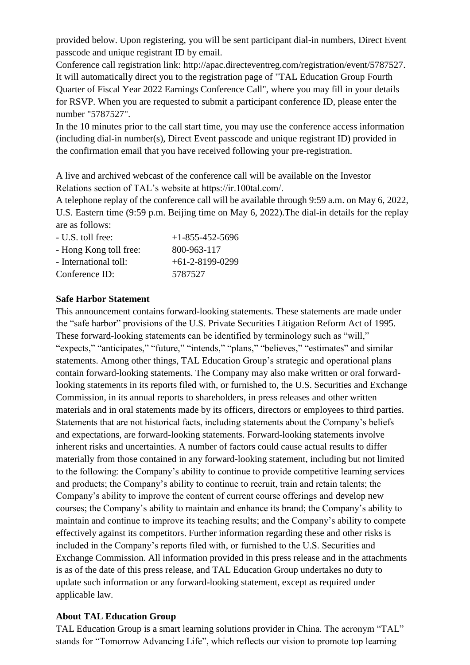provided below. Upon registering, you will be sent participant dial-in numbers, Direct Event passcode and unique registrant ID by email.

Conference call registration link: http://apac.directeventreg.com/registration/event/5787527. It will automatically direct you to the registration page of "TAL Education Group Fourth Quarter of Fiscal Year 2022 Earnings Conference Call", where you may fill in your details for RSVP. When you are requested to submit a participant conference ID, please enter the number "5787527".

In the 10 minutes prior to the call start time, you may use the conference access information (including dial-in number(s), Direct Event passcode and unique registrant ID) provided in the confirmation email that you have received following your pre-registration.

A live and archived webcast of the conference call will be available on the Investor Relations section of TAL's website at https://ir.100tal.com/.

A telephone replay of the conference call will be available through 9:59 a.m. on May 6, 2022, U.S. Eastern time (9:59 p.m. Beijing time on May 6, 2022).The dial-in details for the replay are as follows:

| - U.S. toll free:      | $+1 - 855 - 452 - 5696$ |
|------------------------|-------------------------|
| - Hong Kong toll free: | 800-963-117             |
| - International toll:  | $+61-2-8199-0299$       |
| Conference ID:         | 5787527                 |

#### **Safe Harbor Statement**

This announcement contains forward-looking statements. These statements are made under the "safe harbor" provisions of the U.S. Private Securities Litigation Reform Act of 1995. These forward-looking statements can be identified by terminology such as "will," "expects," "anticipates," "future," "intends," "plans," "believes," "estimates" and similar statements. Among other things, TAL Education Group's strategic and operational plans contain forward-looking statements. The Company may also make written or oral forwardlooking statements in its reports filed with, or furnished to, the U.S. Securities and Exchange Commission, in its annual reports to shareholders, in press releases and other written materials and in oral statements made by its officers, directors or employees to third parties. Statements that are not historical facts, including statements about the Company's beliefs and expectations, are forward-looking statements. Forward-looking statements involve inherent risks and uncertainties. A number of factors could cause actual results to differ materially from those contained in any forward-looking statement, including but not limited to the following: the Company's ability to continue to provide competitive learning services and products; the Company's ability to continue to recruit, train and retain talents; the Company's ability to improve the content of current course offerings and develop new courses; the Company's ability to maintain and enhance its brand; the Company's ability to maintain and continue to improve its teaching results; and the Company's ability to compete effectively against its competitors. Further information regarding these and other risks is included in the Company's reports filed with, or furnished to the U.S. Securities and Exchange Commission. All information provided in this press release and in the attachments is as of the date of this press release, and TAL Education Group undertakes no duty to update such information or any forward-looking statement, except as required under applicable law.

## **About TAL Education Group**

TAL Education Group is a smart learning solutions provider in China. The acronym "TAL" stands for "Tomorrow Advancing Life", which reflects our vision to promote top learning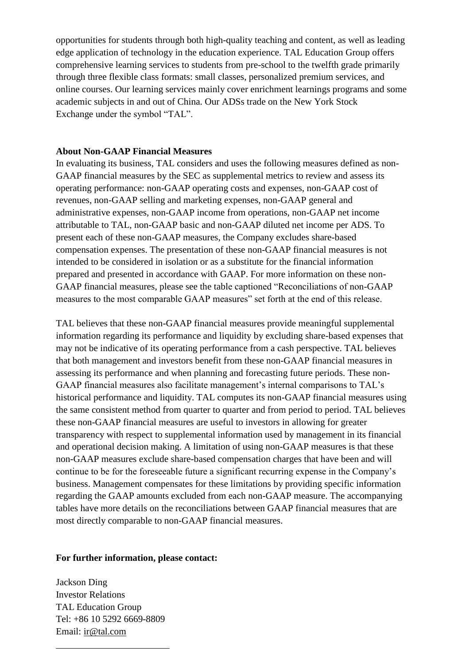opportunities for students through both high-quality teaching and content, as well as leading edge application of technology in the education experience. TAL Education Group offers comprehensive learning services to students from pre-school to the twelfth grade primarily through three flexible class formats: small classes, personalized premium services, and online courses. Our learning services mainly cover enrichment learnings programs and some academic subjects in and out of China. Our ADSs trade on the New York Stock Exchange under the symbol "TAL".

#### **About Non-GAAP Financial Measures**

In evaluating its business, TAL considers and uses the following measures defined as non-GAAP financial measures by the SEC as supplemental metrics to review and assess its operating performance: non-GAAP operating costs and expenses, non-GAAP cost of revenues, non-GAAP selling and marketing expenses, non-GAAP general and administrative expenses, non-GAAP income from operations, non-GAAP net income attributable to TAL, non-GAAP basic and non-GAAP diluted net income per ADS. To present each of these non-GAAP measures, the Company excludes share-based compensation expenses. The presentation of these non-GAAP financial measures is not intended to be considered in isolation or as a substitute for the financial information prepared and presented in accordance with GAAP. For more information on these non-GAAP financial measures, please see the table captioned "Reconciliations of non-GAAP measures to the most comparable GAAP measures" set forth at the end of this release.

TAL believes that these non-GAAP financial measures provide meaningful supplemental information regarding its performance and liquidity by excluding share-based expenses that may not be indicative of its operating performance from a cash perspective. TAL believes that both management and investors benefit from these non-GAAP financial measures in assessing its performance and when planning and forecasting future periods. These non-GAAP financial measures also facilitate management's internal comparisons to TAL's historical performance and liquidity. TAL computes its non-GAAP financial measures using the same consistent method from quarter to quarter and from period to period. TAL believes these non-GAAP financial measures are useful to investors in allowing for greater transparency with respect to supplemental information used by management in its financial and operational decision making. A limitation of using non-GAAP measures is that these non-GAAP measures exclude share-based compensation charges that have been and will continue to be for the foreseeable future a significant recurring expense in the Company's business. Management compensates for these limitations by providing specific information regarding the GAAP amounts excluded from each non-GAAP measure. The accompanying tables have more details on the reconciliations between GAAP financial measures that are most directly comparable to non-GAAP financial measures.

#### **For further information, please contact:**

Jackson Ding Investor Relations TAL Education Group Tel: +86 10 5292 6669-8809 Email: [ir@tal.com](mailto:ir@tal.com)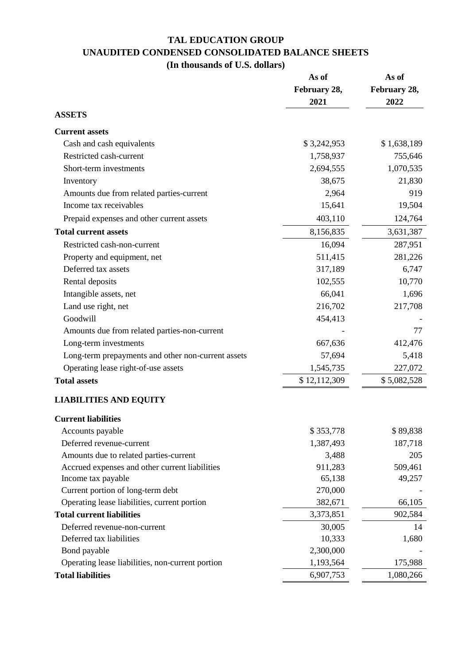# **TAL EDUCATION GROUP UNAUDITED CONDENSED CONSOLIDATED BALANCE SHEETS**

**(In thousands of U.S. dollars)**

|                                                    | As of<br>February 28,<br>2021 | As of<br>February 28,<br>2022 |
|----------------------------------------------------|-------------------------------|-------------------------------|
| <b>ASSETS</b>                                      |                               |                               |
| <b>Current assets</b>                              |                               |                               |
| Cash and cash equivalents                          | \$3,242,953                   | \$1,638,189                   |
| Restricted cash-current                            | 1,758,937                     | 755,646                       |
| Short-term investments                             | 2,694,555                     | 1,070,535                     |
| Inventory                                          | 38,675                        | 21,830                        |
| Amounts due from related parties-current           | 2,964                         | 919                           |
| Income tax receivables                             | 15,641                        | 19,504                        |
| Prepaid expenses and other current assets          | 403,110                       | 124,764                       |
| <b>Total current assets</b>                        | 8,156,835                     | 3,631,387                     |
| Restricted cash-non-current                        | 16,094                        | 287,951                       |
| Property and equipment, net                        | 511,415                       | 281,226                       |
| Deferred tax assets                                | 317,189                       | 6,747                         |
| Rental deposits                                    | 102,555                       | 10,770                        |
| Intangible assets, net                             | 66,041                        | 1,696                         |
| Land use right, net                                | 216,702                       | 217,708                       |
| Goodwill                                           | 454,413                       |                               |
| Amounts due from related parties-non-current       |                               | 77                            |
| Long-term investments                              | 667,636                       | 412,476                       |
| Long-term prepayments and other non-current assets | 57,694                        | 5,418                         |
| Operating lease right-of-use assets                | 1,545,735                     | 227,072                       |
| <b>Total assets</b>                                | \$12,112,309                  | \$5,082,528                   |
| <b>LIABILITIES AND EQUITY</b>                      |                               |                               |
| <b>Current liabilities</b>                         |                               |                               |
| Accounts payable                                   | \$353,778                     | \$89,838                      |
| Deferred revenue-current                           | 1,387,493                     | 187,718                       |
| Amounts due to related parties-current             | 3,488                         | 205                           |
| Accrued expenses and other current liabilities     | 911,283                       | 509,461                       |
| Income tax payable                                 | 65,138                        | 49,257                        |
| Current portion of long-term debt                  | 270,000                       |                               |
| Operating lease liabilities, current portion       | 382,671                       | 66,105                        |
| <b>Total current liabilities</b>                   | 3,373,851                     | 902,584                       |
| Deferred revenue-non-current                       | 30,005                        | 14                            |
| Deferred tax liabilities                           | 10,333                        | 1,680                         |
| Bond payable                                       | 2,300,000                     |                               |
| Operating lease liabilities, non-current portion   | 1,193,564                     | 175,988                       |
| <b>Total liabilities</b>                           | 6,907,753                     | 1,080,266                     |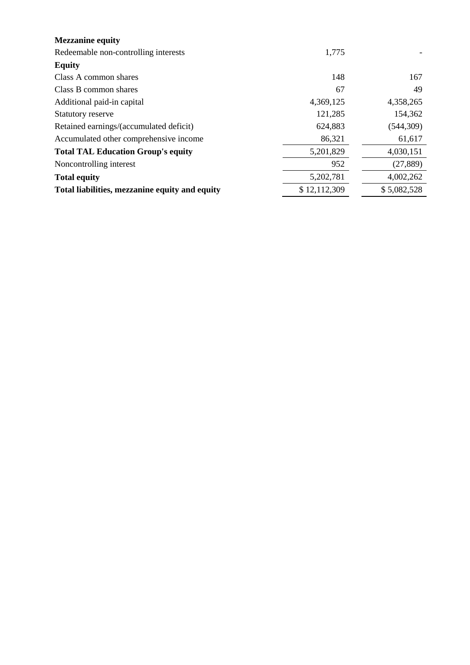| <b>Mezzanine equity</b>                        |              |             |
|------------------------------------------------|--------------|-------------|
| Redeemable non-controlling interests           | 1,775        |             |
| <b>Equity</b>                                  |              |             |
| Class A common shares                          | 148          | 167         |
| Class B common shares                          | 67           | 49          |
| Additional paid-in capital                     | 4,369,125    | 4,358,265   |
| Statutory reserve                              | 121,285      | 154,362     |
| Retained earnings/(accumulated deficit)        | 624,883      | (544, 309)  |
| Accumulated other comprehensive income         | 86,321       | 61,617      |
| <b>Total TAL Education Group's equity</b>      | 5,201,829    | 4,030,151   |
| Noncontrolling interest                        | 952          | (27, 889)   |
| <b>Total equity</b>                            | 5,202,781    | 4,002,262   |
| Total liabilities, mezzanine equity and equity | \$12,112,309 | \$5,082,528 |
|                                                |              |             |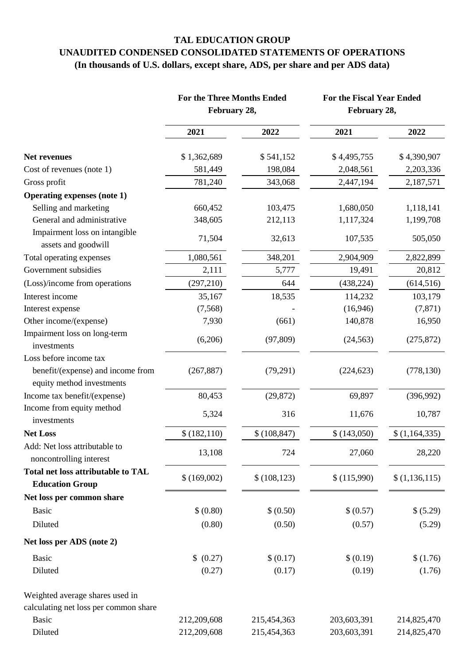## **TAL EDUCATION GROUP UNAUDITED CONDENSED CONSOLIDATED STATEMENTS OF OPERATIONS (In thousands of U.S. dollars, except share, ADS, per share and per ADS data)**

|                                                                                          | <b>For the Three Months Ended</b><br>February 28, |              | <b>For the Fiscal Year Ended</b><br>February 28, |               |
|------------------------------------------------------------------------------------------|---------------------------------------------------|--------------|--------------------------------------------------|---------------|
|                                                                                          |                                                   |              |                                                  |               |
|                                                                                          | 2021                                              | 2022         | 2021                                             | 2022          |
| Net revenues                                                                             | \$1,362,689                                       | \$541,152    | \$4,495,755                                      | \$4,390,907   |
| Cost of revenues (note 1)                                                                | 581,449                                           | 198,084      | 2,048,561                                        | 2,203,336     |
| Gross profit                                                                             | 781,240                                           | 343,068      | 2,447,194                                        | 2,187,571     |
| <b>Operating expenses (note 1)</b>                                                       |                                                   |              |                                                  |               |
| Selling and marketing                                                                    | 660,452                                           | 103,475      | 1,680,050                                        | 1,118,141     |
| General and administrative                                                               | 348,605                                           | 212,113      | 1,117,324                                        | 1,199,708     |
| Impairment loss on intangible<br>assets and goodwill                                     | 71,504                                            | 32,613       | 107,535                                          | 505,050       |
| Total operating expenses                                                                 | 1,080,561                                         | 348,201      | 2,904,909                                        | 2,822,899     |
| Government subsidies                                                                     | 2,111                                             | 5,777        | 19,491                                           | 20,812        |
| (Loss)/income from operations                                                            | (297,210)                                         | 644          | (438, 224)                                       | (614, 516)    |
| Interest income                                                                          | 35,167                                            | 18,535       | 114,232                                          | 103,179       |
| Interest expense                                                                         | (7,568)                                           |              | (16,946)                                         | (7, 871)      |
| Other income/(expense)                                                                   | 7,930                                             | (661)        | 140,878                                          | 16,950        |
| Impairment loss on long-term<br>investments                                              | (6,206)                                           | (97, 809)    | (24, 563)                                        | (275, 872)    |
| Loss before income tax<br>benefit/(expense) and income from<br>equity method investments | (267, 887)                                        | (79, 291)    | (224, 623)                                       | (778, 130)    |
| Income tax benefit/(expense)                                                             | 80,453                                            | (29, 872)    | 69,897                                           | (396,992)     |
| Income from equity method<br>investments                                                 | 5,324                                             | 316          | 11,676                                           | 10,787        |
| <b>Net Loss</b>                                                                          | \$(182,110)                                       | \$(108, 847) | \$(143,050)                                      | \$(1,164,335) |
| Add: Net loss attributable to<br>noncontrolling interest                                 | 13,108                                            | 724          | 27,060                                           | 28,220        |
| <b>Total net loss attributable to TAL</b><br><b>Education Group</b>                      | \$(169,002)                                       | \$(108, 123) | \$(115,990)                                      | \$(1,136,115) |
| Net loss per common share                                                                |                                                   |              |                                                  |               |
| <b>Basic</b>                                                                             | \$ (0.80)                                         | \$ (0.50)    | \$ (0.57)                                        | \$ (5.29)     |
| Diluted                                                                                  | (0.80)                                            | (0.50)       | (0.57)                                           | (5.29)        |
| Net loss per ADS (note 2)                                                                |                                                   |              |                                                  |               |
| <b>Basic</b>                                                                             | \$ (0.27)                                         | \$ (0.17)    | \$ (0.19)                                        | \$(1.76)      |
| Diluted                                                                                  | (0.27)                                            | (0.17)       | (0.19)                                           | (1.76)        |
| Weighted average shares used in<br>calculating net loss per common share                 |                                                   |              |                                                  |               |
| <b>Basic</b>                                                                             | 212,209,608                                       | 215,454,363  | 203,603,391                                      | 214,825,470   |
| Diluted                                                                                  | 212,209,608                                       | 215,454,363  | 203,603,391                                      | 214,825,470   |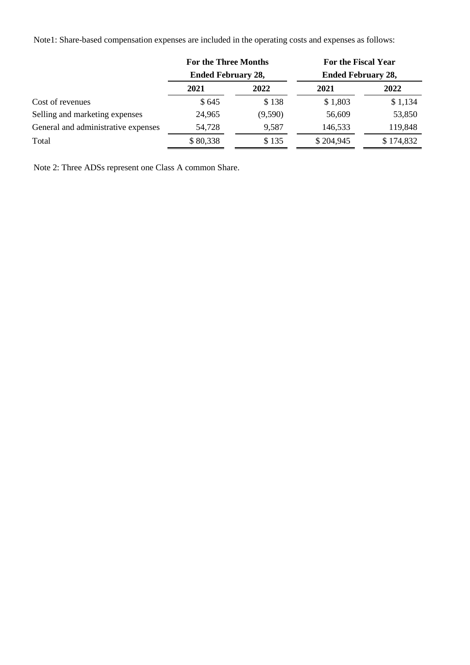Note1: Share-based compensation expenses are included in the operating costs and expenses as follows:

|                                     | <b>For the Three Months</b><br><b>Ended February 28,</b> |         | <b>For the Fiscal Year</b><br><b>Ended February 28,</b> |           |
|-------------------------------------|----------------------------------------------------------|---------|---------------------------------------------------------|-----------|
|                                     |                                                          |         |                                                         |           |
|                                     | 2021                                                     | 2022    | 2021                                                    | 2022      |
| Cost of revenues                    | \$645                                                    | \$138   | \$1,803                                                 | \$1,134   |
| Selling and marketing expenses      | 24,965                                                   | (9,590) | 56,609                                                  | 53,850    |
| General and administrative expenses | 54,728                                                   | 9,587   | 146,533                                                 | 119,848   |
| Total                               | \$80,338                                                 | \$135   | \$204,945                                               | \$174,832 |

Note 2: Three ADSs represent one Class A common Share.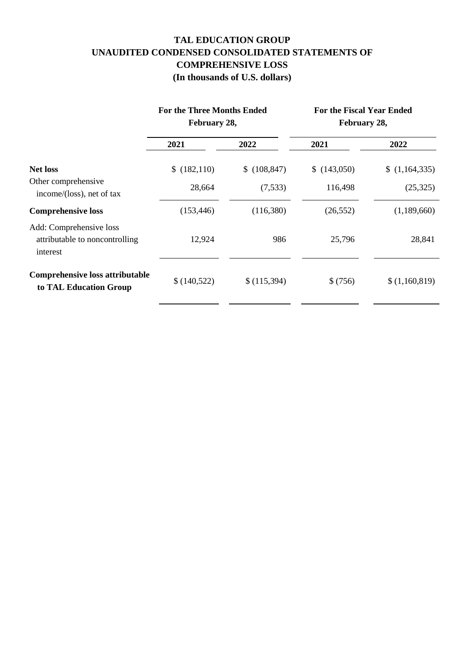## **TAL EDUCATION GROUP UNAUDITED CONDENSED CONSOLIDATED STATEMENTS OF COMPREHENSIVE LOSS (In thousands of U.S. dollars)**

|                                                                       | <b>For the Three Months Ended</b><br>February 28, |              | <b>For the Fiscal Year Ended</b><br>February 28, |               |
|-----------------------------------------------------------------------|---------------------------------------------------|--------------|--------------------------------------------------|---------------|
|                                                                       | 2021                                              | 2022         | 2021                                             | 2022          |
| <b>Net loss</b>                                                       | \$(182,110)                                       | \$(108, 847) | \$(143,050)                                      | (1,164,335)   |
| Other comprehensive<br>income/(loss), net of tax                      | 28,664                                            | (7,533)      | 116,498                                          | (25, 325)     |
| <b>Comprehensive loss</b>                                             | (153, 446)                                        | (116,380)    | (26, 552)                                        | (1,189,660)   |
| Add: Comprehensive loss<br>attributable to noncontrolling<br>interest | 12,924                                            | 986          | 25,796                                           | 28,841        |
| <b>Comprehensive loss attributable</b><br>to TAL Education Group      | \$(140,522)                                       | \$(115,394)  | \$ (756)                                         | \$(1,160,819) |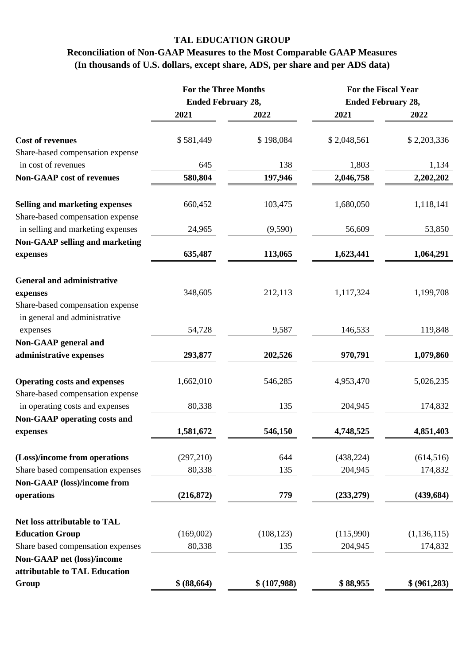#### **TAL EDUCATION GROUP**

## **Reconciliation of Non-GAAP Measures to the Most Comparable GAAP Measures (In thousands of U.S. dollars, except share, ADS, per share and per ADS data)**

|                                                                         | <b>For the Three Months</b><br><b>Ended February 28,</b> |             | For the Fiscal Year<br><b>Ended February 28,</b> |               |
|-------------------------------------------------------------------------|----------------------------------------------------------|-------------|--------------------------------------------------|---------------|
|                                                                         | 2021                                                     | 2022        | 2021                                             | 2022          |
| <b>Cost of revenues</b><br>Share-based compensation expense             | \$581,449                                                | \$198,084   | \$2,048,561                                      | \$2,203,336   |
| in cost of revenues                                                     | 645                                                      | 138         | 1,803                                            | 1,134         |
| <b>Non-GAAP</b> cost of revenues                                        | 580,804                                                  | 197,946     | 2,046,758                                        | 2,202,202     |
| Selling and marketing expenses<br>Share-based compensation expense      | 660,452                                                  | 103,475     | 1,680,050                                        | 1,118,141     |
| in selling and marketing expenses                                       | 24,965                                                   | (9,590)     | 56,609                                           | 53,850        |
| <b>Non-GAAP selling and marketing</b><br>expenses                       | 635,487                                                  | 113,065     | 1,623,441                                        | 1,064,291     |
| <b>General and administrative</b>                                       |                                                          |             |                                                  |               |
| expenses<br>Share-based compensation expense                            | 348,605                                                  | 212,113     | 1,117,324                                        | 1,199,708     |
| in general and administrative<br>expenses                               | 54,728                                                   | 9,587       | 146,533                                          | 119,848       |
| Non-GAAP general and                                                    |                                                          |             |                                                  |               |
| administrative expenses                                                 | 293,877                                                  | 202,526     | 970,791                                          | 1,079,860     |
| <b>Operating costs and expenses</b><br>Share-based compensation expense | 1,662,010                                                | 546,285     | 4,953,470                                        | 5,026,235     |
| in operating costs and expenses                                         | 80,338                                                   | 135         | 204,945                                          | 174,832       |
| <b>Non-GAAP</b> operating costs and                                     |                                                          |             |                                                  |               |
| expenses                                                                | 1,581,672                                                | 546,150     | 4,748,525                                        | 4,851,403     |
| (Loss)/income from operations                                           | (297, 210)                                               | 644         | (438, 224)                                       | (614, 516)    |
| Share based compensation expenses                                       | 80,338                                                   | 135         | 204,945                                          | 174,832       |
| <b>Non-GAAP</b> (loss)/income from<br>operations                        | (216, 872)                                               | 779         | (233, 279)                                       | (439, 684)    |
|                                                                         |                                                          |             |                                                  |               |
| <b>Net loss attributable to TAL</b>                                     |                                                          |             |                                                  |               |
| <b>Education Group</b>                                                  | (169,002)                                                | (108, 123)  | (115,990)                                        | (1, 136, 115) |
| Share based compensation expenses                                       | 80,338                                                   | 135         | 204,945                                          | 174,832       |
| Non-GAAP net (loss)/income                                              |                                                          |             |                                                  |               |
| attributable to TAL Education<br>Group                                  | \$ (88,664)                                              | \$(107,988) | \$88,955                                         | \$ (961,283)  |
|                                                                         |                                                          |             |                                                  |               |